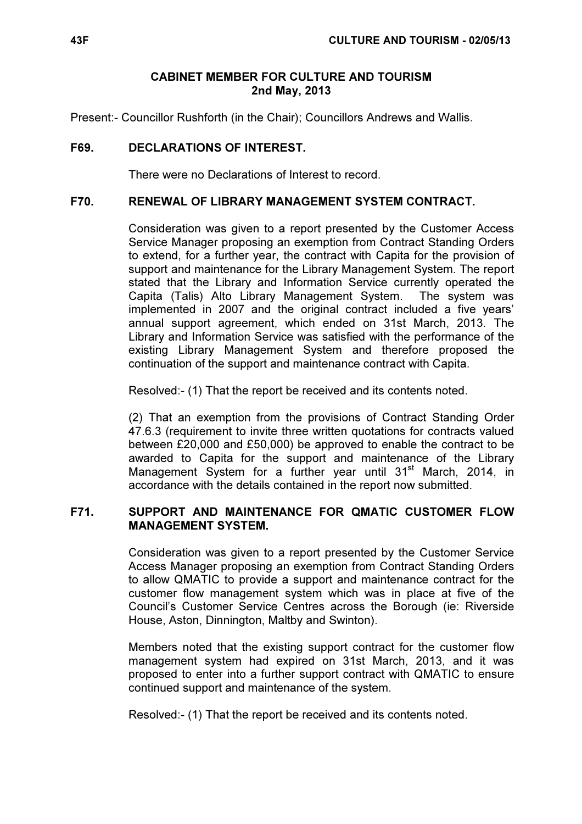### CABINET MEMBER FOR CULTURE AND TOURISM 2nd May, 2013

Present:- Councillor Rushforth (in the Chair); Councillors Andrews and Wallis.

# F69. DECLARATIONS OF INTEREST.

There were no Declarations of Interest to record.

#### F70. RENEWAL OF LIBRARY MANAGEMENT SYSTEM CONTRACT.

 Consideration was given to a report presented by the Customer Access Service Manager proposing an exemption from Contract Standing Orders to extend, for a further year, the contract with Capita for the provision of support and maintenance for the Library Management System. The report stated that the Library and Information Service currently operated the Capita (Talis) Alto Library Management System. The system was implemented in 2007 and the original contract included a five years' annual support agreement, which ended on 31st March, 2013. The Library and Information Service was satisfied with the performance of the existing Library Management System and therefore proposed the continuation of the support and maintenance contract with Capita.

Resolved:- (1) That the report be received and its contents noted.

(2) That an exemption from the provisions of Contract Standing Order 47.6.3 (requirement to invite three written quotations for contracts valued between £20,000 and £50,000) be approved to enable the contract to be awarded to Capita for the support and maintenance of the Library Management System for a further year until 31<sup>st</sup> March, 2014, in accordance with the details contained in the report now submitted.

#### F71. SUPPORT AND MAINTENANCE FOR QMATIC CUSTOMER FLOW MANAGEMENT SYSTEM.

 Consideration was given to a report presented by the Customer Service Access Manager proposing an exemption from Contract Standing Orders to allow QMATIC to provide a support and maintenance contract for the customer flow management system which was in place at five of the Council's Customer Service Centres across the Borough (ie: Riverside House, Aston, Dinnington, Maltby and Swinton).

Members noted that the existing support contract for the customer flow management system had expired on 31st March, 2013, and it was proposed to enter into a further support contract with QMATIC to ensure continued support and maintenance of the system.

Resolved:- (1) That the report be received and its contents noted.